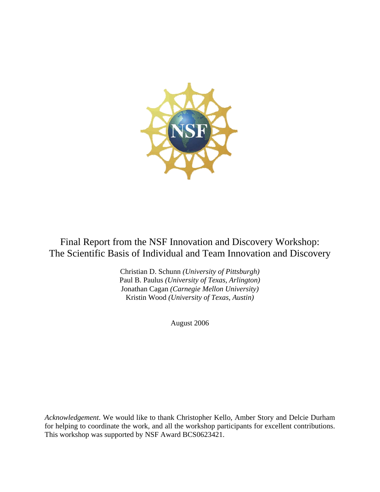

# Final Report from the NSF Innovation and Discovery Workshop: The Scientific Basis of Individual and Team Innovation and Discovery

Christian D. Schunn *(University of Pittsburgh)* Paul B. Paulus *(University of Texas, Arlington)* Jonathan Cagan *(Carnegie Mellon University)* Kristin Wood *(University of Texas, Austin)*

August 2006

*Acknowledgement*. We would like to thank Christopher Kello, Amber Story and Delcie Durham for helping to coordinate the work, and all the workshop participants for excellent contributions. This workshop was supported by NSF Award BCS0623421.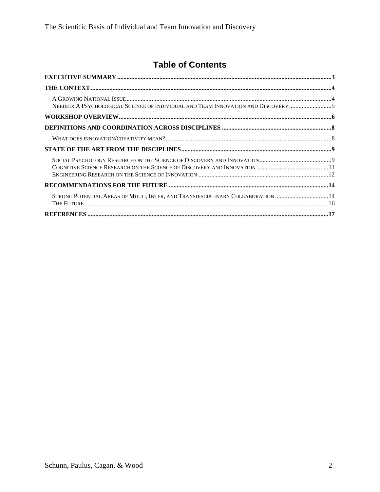# **Table of Contents**

| NEEDED: A PSYCHOLOGICAL SCIENCE OF INDIVIDUAL AND TEAM INNOVATION AND DISCOVERY 5 |  |
|-----------------------------------------------------------------------------------|--|
|                                                                                   |  |
|                                                                                   |  |
|                                                                                   |  |
|                                                                                   |  |
|                                                                                   |  |
|                                                                                   |  |
| STRONG POTENTIAL AREAS OF MULTI, INTER, AND TRANSDISCIPLINARY COLLABORATION 14    |  |
|                                                                                   |  |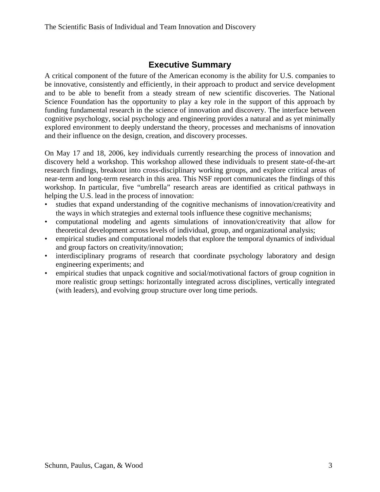### **Executive Summary**

<span id="page-2-0"></span>A critical component of the future of the American economy is the ability for U.S. companies to be innovative, consistently and efficiently, in their approach to product and service development and to be able to benefit from a steady stream of new scientific discoveries. The National Science Foundation has the opportunity to play a key role in the support of this approach by funding fundamental research in the science of innovation and discovery. The interface between cognitive psychology, social psychology and engineering provides a natural and as yet minimally explored environment to deeply understand the theory, processes and mechanisms of innovation and their influence on the design, creation, and discovery processes.

On May 17 and 18, 2006, key individuals currently researching the process of innovation and discovery held a workshop. This workshop allowed these individuals to present state-of-the-art research findings, breakout into cross-disciplinary working groups, and explore critical areas of near-term and long-term research in this area. This NSF report communicates the findings of this workshop. In particular, five "umbrella" research areas are identified as critical pathways in helping the U.S. lead in the process of innovation:

- studies that expand understanding of the cognitive mechanisms of innovation/creativity and the ways in which strategies and external tools influence these cognitive mechanisms;
- computational modeling and agents simulations of innovation/creativity that allow for theoretical development across levels of individual, group, and organizational analysis;
- empirical studies and computational models that explore the temporal dynamics of individual and group factors on creativity/innovation;
- interdisciplinary programs of research that coordinate psychology laboratory and design engineering experiments; and
- empirical studies that unpack cognitive and social/motivational factors of group cognition in more realistic group settings: horizontally integrated across disciplines, vertically integrated (with leaders), and evolving group structure over long time periods.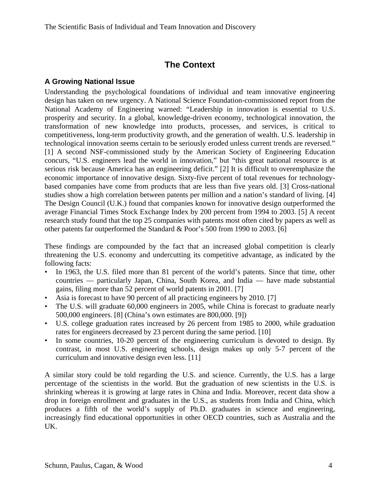## **The Context**

#### <span id="page-3-0"></span>**A Growing National Issue**

Understanding the psychological foundations of individual and team innovative engineering design has taken on new urgency. A National Science Foundation-commissioned report from the National Academy of Engineering warned: "Leadership in innovation is essential to U.S. prosperity and security. In a global, knowledge-driven economy, technological innovation, the transformation of new knowledge into products, processes, and services, is critical to competitiveness, long-term productivity growth, and the generation of wealth. U.S. leadership in technological innovation seems certain to be seriously eroded unless current trends are reversed." [1] A second NSF-commissioned study by the American Society of Engineering Education concurs, "U.S. engineers lead the world in innovation," but "this great national resource is at serious risk because America has an engineering deficit." [2] It is difficult to overemphasize the economic importance of innovative design. Sixty-five percent of total revenues for technologybased companies have come from products that are less than five years old. [3] Cross-national studies show a high correlation between patents per million and a nation's standard of living. [4] The Design Council (U.K.) found that companies known for innovative design outperformed the average Financial Times Stock Exchange Index by 200 percent from 1994 to 2003. [5] A recent research study found that the top 25 companies with patents most often cited by papers as well as other patents far outperformed the Standard & Poor's 500 from 1990 to 2003. [6]

These findings are compounded by the fact that an increased global competition is clearly threatening the U.S. economy and undercutting its competitive advantage, as indicated by the following facts:

- In 1963, the U.S. filed more than 81 percent of the world's patents. Since that time, other countries — particularly Japan, China, South Korea, and India — have made substantial gains, filing more than 52 percent of world patents in 2001. [7]
- Asia is forecast to have 90 percent of all practicing engineers by 2010. [7]
- The U.S. will graduate 60,000 engineers in 2005, while China is forecast to graduate nearly 500,000 engineers. [8] (China's own estimates are 800,000. [9])
- U.S. college graduation rates increased by 26 percent from 1985 to 2000, while graduation rates for engineers decreased by 23 percent during the same period. [10]
- In some countries, 10-20 percent of the engineering curriculum is devoted to design. By contrast, in most U.S. engineering schools, design makes up only 5-7 percent of the curriculum and innovative design even less. [11]

A similar story could be told regarding the U.S. and science. Currently, the U.S. has a large percentage of the scientists in the world. But the graduation of new scientists in the U.S. is shrinking whereas it is growing at large rates in China and India. Moreover, recent data show a drop in foreign enrollment and graduates in the U.S., as students from India and China, which produces a fifth of the world's supply of Ph.D. graduates in science and engineering, increasingly find educational opportunities in other OECD countries, such as Australia and the UK.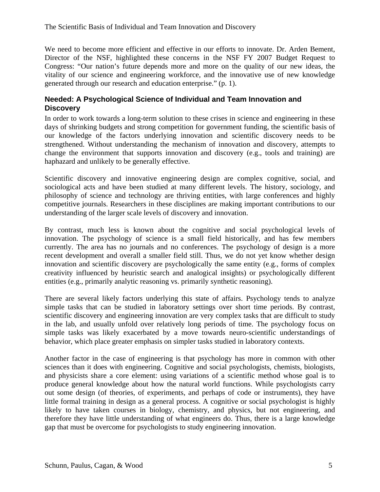<span id="page-4-0"></span>We need to become more efficient and effective in our efforts to innovate. Dr. Arden Bement, Director of the NSF, highlighted these concerns in the NSF FY 2007 Budget Request to Congress: "Our nation's future depends more and more on the quality of our new ideas, the vitality of our science and engineering workforce, and the innovative use of new knowledge generated through our research and education enterprise." (p. 1).

#### **Needed: A Psychological Science of Individual and Team Innovation and Discovery**

In order to work towards a long-term solution to these crises in science and engineering in these days of shrinking budgets and strong competition for government funding, the scientific basis of our knowledge of the factors underlying innovation and scientific discovery needs to be strengthened. Without understanding the mechanism of innovation and discovery, attempts to change the environment that supports innovation and discovery (e.g., tools and training) are haphazard and unlikely to be generally effective.

Scientific discovery and innovative engineering design are complex cognitive, social, and sociological acts and have been studied at many different levels. The history, sociology, and philosophy of science and technology are thriving entities, with large conferences and highly competitive journals. Researchers in these disciplines are making important contributions to our understanding of the larger scale levels of discovery and innovation.

By contrast, much less is known about the cognitive and social psychological levels of innovation. The psychology of science is a small field historically, and has few members currently. The area has no journals and no conferences. The psychology of design is a more recent development and overall a smaller field still. Thus, we do not yet know whether design innovation and scientific discovery are psychologically the same entity (e.g., forms of complex creativity influenced by heuristic search and analogical insights) or psychologically different entities (e.g., primarily analytic reasoning vs. primarily synthetic reasoning).

There are several likely factors underlying this state of affairs. Psychology tends to analyze simple tasks that can be studied in laboratory settings over short time periods. By contrast, scientific discovery and engineering innovation are very complex tasks that are difficult to study in the lab, and usually unfold over relatively long periods of time. The psychology focus on simple tasks was likely exacerbated by a move towards neuro-scientific understandings of behavior, which place greater emphasis on simpler tasks studied in laboratory contexts.

Another factor in the case of engineering is that psychology has more in common with other sciences than it does with engineering. Cognitive and social psychologists, chemists, biologists, and physicists share a core element: using variations of a scientific method whose goal is to produce general knowledge about how the natural world functions. While psychologists carry out some design (of theories, of experiments, and perhaps of code or instruments), they have little formal training in design as a general process. A cognitive or social psychologist is highly likely to have taken courses in biology, chemistry, and physics, but not engineering, and therefore they have little understanding of what engineers do. Thus, there is a large knowledge gap that must be overcome for psychologists to study engineering innovation.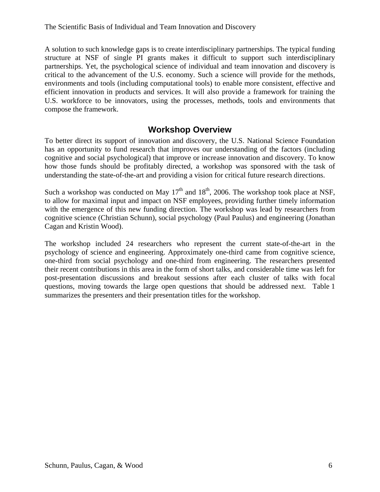<span id="page-5-0"></span>A solution to such knowledge gaps is to create interdisciplinary partnerships. The typical funding structure at NSF of single PI grants makes it difficult to support such interdisciplinary partnerships. Yet, the psychological science of individual and team innovation and discovery is critical to the advancement of the U.S. economy. Such a science will provide for the methods, environments and tools (including computational tools) to enable more consistent, effective and efficient innovation in products and services. It will also provide a framework for training the U.S. workforce to be innovators, using the processes, methods, tools and environments that compose the framework.

### **Workshop Overview**

To better direct its support of innovation and discovery, the U.S. National Science Foundation has an opportunity to fund research that improves our understanding of the factors (including cognitive and social psychological) that improve or increase innovation and discovery. To know how those funds should be profitably directed, a workshop was sponsored with the task of understanding the state-of-the-art and providing a vision for critical future research directions.

Such a workshop was conducted on May  $17<sup>th</sup>$  and  $18<sup>th</sup>$ , 2006. The workshop took place at NSF, to allow for maximal input and impact on NSF employees, providing further timely information with the emergence of this new funding direction. The workshop was lead by researchers from cognitive science (Christian Schunn), social psychology (Paul Paulus) and engineering (Jonathan Cagan and Kristin Wood).

The workshop included 24 researchers who represent the current state-of-the-art in the psychology of science and engineering. Approximately one-third came from cognitive science, one-third from social psychology and one-third from engineering. The researchers presented their recent contributions in this area in the form of short talks, and considerable time was left for post-presentation discussions and breakout sessions after each cluster of talks with focal questions, moving towards the large open questions that should be addressed next. Table 1 summarizes the presenters and their presentation titles for the workshop.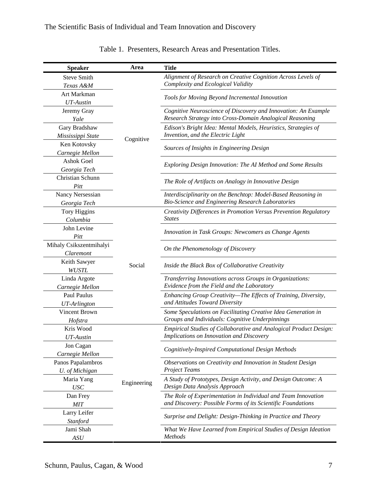| <b>Speaker</b>                       | Area        | <b>Title</b>                                                                                           |
|--------------------------------------|-------------|--------------------------------------------------------------------------------------------------------|
| <b>Steve Smith</b>                   | Cognitive   | Alignment of Research on Creative Cognition Across Levels of                                           |
| Texas A&M                            |             | Complexity and Ecological Validity                                                                     |
| Art Markman                          |             |                                                                                                        |
| UT-Austin                            |             | Tools for Moving Beyond Incremental Innovation                                                         |
| Jeremy Gray                          |             | Cognitive Neuroscience of Discovery and Innovation: An Example                                         |
| Yale                                 |             | Research Strategy into Cross-Domain Analogical Reasoning                                               |
| Gary Bradshaw                        |             | Edison's Bright Idea: Mental Models, Heuristics, Strategies of                                         |
| Mississippi State                    |             | Invention, and the Electric Light                                                                      |
| Ken Kotovsky                         |             | Sources of Insights in Engineering Design                                                              |
| Carnegie Mellon                      |             |                                                                                                        |
| Ashok Goel                           |             | Exploring Design Innovation: The AI Method and Some Results                                            |
| Georgia Tech                         |             |                                                                                                        |
| Christian Schunn                     |             | The Role of Artifacts on Analogy in Innovative Design                                                  |
| Pitt                                 |             |                                                                                                        |
| <b>Nancy Nersessian</b>              |             | Interdisciplinarity on the Benchtop: Model-Based Reasoning in                                          |
| Georgia Tech                         |             | Bio-Science and Engineering Research Laboratories                                                      |
| <b>Tory Higgins</b>                  |             | Creativity Differences in Promotion Versus Prevention Regulatory                                       |
| Columbia                             |             | <b>States</b>                                                                                          |
| John Levine                          |             | Innovation in Task Groups: Newcomers as Change Agents                                                  |
| Pitt                                 |             |                                                                                                        |
| Mihaly Csikszentmihalyi              |             | On the Phenomenology of Discovery                                                                      |
| Claremont                            |             |                                                                                                        |
| Keith Sawyer                         | Social      | Inside the Black Box of Collaborative Creativity                                                       |
| WUSTL                                |             |                                                                                                        |
| Linda Argote                         |             | Transferring Innovations across Groups in Organizations:<br>Evidence from the Field and the Laboratory |
| Carnegie Mellon                      |             |                                                                                                        |
| Paul Paulus                          |             | Enhancing Group Creativity-The Effects of Training, Diversity,<br>and Attitudes Toward Diversity       |
| <b>UT-Arlington</b><br>Vincent Brown |             | Some Speculations on Facilitating Creative Idea Generation in                                          |
|                                      |             | Groups and Individuals: Cognitive Underpinnings                                                        |
| Hofstra<br>Kris Wood                 |             | Empirical Studies of Collaborative and Analogical Product Design:                                      |
| UT-Austin                            |             | Implications on Innovation and Discovery                                                               |
| Jon Cagan                            |             |                                                                                                        |
| Carnegie Mellon                      |             | Cognitively-Inspired Computational Design Methods                                                      |
| Panos Papalambros                    |             | Observations on Creativity and Innovation in Student Design                                            |
| U. of Michigan                       |             | <b>Project Teams</b>                                                                                   |
| Maria Yang                           |             | A Study of Prototypes, Design Activity, and Design Outcome: A                                          |
| <b>USC</b>                           | Engineering | Design Data Analysis Approach                                                                          |
| Dan Frey                             |             | The Role of Experimentation in Individual and Team Innovation                                          |
| <b>MIT</b>                           |             | and Discovery: Possible Forms of its Scientific Foundations                                            |
| Larry Leifer                         |             |                                                                                                        |
| Stanford                             |             | Surprise and Delight: Design-Thinking in Practice and Theory                                           |
| Jami Shah                            |             | What We Have Learned from Empirical Studies of Design Ideation                                         |
| ASU                                  |             | <b>Methods</b>                                                                                         |

Table 1. Presenters, Research Areas and Presentation Titles.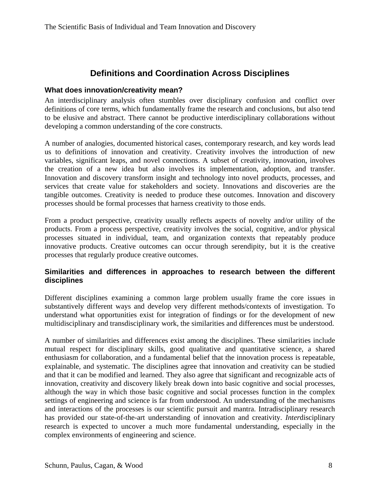### **Definitions and Coordination Across Disciplines**

#### <span id="page-7-0"></span>**What does innovation/creativity mean?**

An interdisciplinary analysis often stumbles over disciplinary confusion and conflict over definitions of core terms, which fundamentally frame the research and conclusions, but also tend to be elusive and abstract. There cannot be productive interdisciplinary collaborations without developing a common understanding of the core constructs.

A number of analogies, documented historical cases, contemporary research, and key words lead us to definitions of innovation and creativity. Creativity involves the introduction of new variables, significant leaps, and novel connections. A subset of creativity, innovation, involves the creation of a new idea but also involves its implementation, adoption, and transfer. Innovation and discovery transform insight and technology into novel products, processes, and services that create value for stakeholders and society. Innovations and discoveries are the tangible outcomes. Creativity is needed to produce these outcomes. Innovation and discovery processes should be formal processes that harness creativity to those ends.

From a product perspective, creativity usually reflects aspects of novelty and/or utility of the products. From a process perspective, creativity involves the social, cognitive, and/or physical processes situated in individual, team, and organization contexts that repeatably produce innovative products. Creative outcomes can occur through serendipity, but it is the creative processes that regularly produce creative outcomes.

#### **Similarities and differences in approaches to research between the different disciplines**

Different disciplines examining a common large problem usually frame the core issues in substantively different ways and develop very different methods/contexts of investigation. To understand what opportunities exist for integration of findings or for the development of new multidisciplinary and transdisciplinary work, the similarities and differences must be understood.

A number of similarities and differences exist among the disciplines. These similarities include mutual respect for disciplinary skills, good qualitative and quantitative science, a shared enthusiasm for collaboration, and a fundamental belief that the innovation process is repeatable, explainable, and systematic. The disciplines agree that innovation and creativity can be studied and that it can be modified and learned. They also agree that significant and recognizable acts of innovation, creativity and discovery likely break down into basic cognitive and social processes, although the way in which those basic cognitive and social processes function in the complex settings of engineering and science is far from understood. An understanding of the mechanisms and interactions of the processes is our scientific pursuit and mantra. Intradisciplinary research has provided our state-of-the-art understanding of innovation and creativity. *Inter*disciplinary research is expected to uncover a much more fundamental understanding, especially in the complex environments of engineering and science.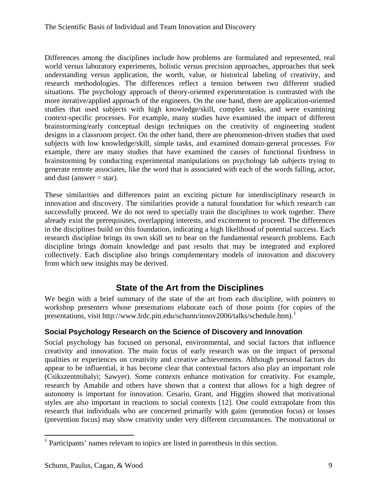<span id="page-8-0"></span>Differences among the disciplines include how problems are formulated and represented, real world versus laboratory experiments, holistic versus precision approaches, approaches that seek understanding versus application, the worth, value, or historical labeling of creativity, and research methodologies. The differences reflect a tension between two different studied situations. The psychology approach of theory-oriented experimentation is contrasted with the more iterative/applied approach of the engineers. On the one hand, there are application-oriented studies that used subjects with high knowledge/skill, complex tasks, and were examining context-specific processes. For example, many studies have examined the impact of different brainstorming/early conceptual design techniques on the creativity of engineering student designs in a classroom project. On the other hand, there are phenomenon-driven studies that used subjects with low knowledge/skill, simple tasks, and examined domain-general processes. For example, there are many studies that have examined the causes of functional fixedness in brainstorming by conducting experimental manipulations on psychology lab subjects trying to generate remote associates, like the word that is associated with each of the words falling, actor, and dust (answer  $=$  star).

These similarities and differences paint an exciting picture for interdisciplinary research in innovation and discovery. The similarities provide a natural foundation for which research can successfully proceed. We do not need to specially train the disciplines to work together. There already exist the prerequisites, overlapping interests, and excitement to proceed. The differences in the disciplines build on this foundation, indicating a high likelihood of potential success. Each research discipline brings its own skill set to bear on the fundamental research problems. Each discipline brings domain knowledge and past results that may be integrated and explored collectively. Each discipline also brings complementary models of innovation and discovery from which new insights may be derived.

## **State of the Art from the Disciplines**

We begin with a brief summary of the state of the art from each discipline, with pointers to workshop presenters whose presentations elaborate each of those points (for copies of the presentations, visit http://www.lrdc.pitt.edu/schunn/innov2006/talks/schedule.htm).[1](#page-8-1)

### **Social Psychology Research on the Science of Discovery and Innovation**

Social psychology has focused on personal, environmental, and social factors that influence creativity and innovation. The main focus of early research was on the impact of personal qualities or experiences on creativity and creative achievements. Although personal factors do appear to be influential, it has become clear that contextual factors also play an important role (Csikszentmihalyi; Sawyer). Some contexts enhance motivation for creativity. For example, research by Amabile and others have shown that a context that allows for a high degree of autonomy is important for innovation. Cesario, Grant, and Higgins showed that motivational styles are also important in reactions to social contexts [12]. One could extrapolate from this research that individuals who are concerned primarily with gains (promotion focus) or losses (prevention focus) may show creativity under very different circumstances. The motivational or

<span id="page-8-1"></span> 1 Participants' names relevant to topics are listed in parenthesis in this section.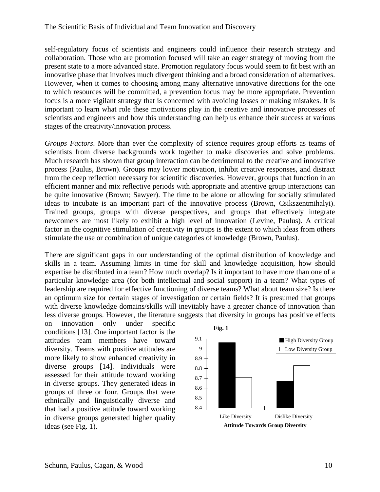self-regulatory focus of scientists and engineers could influence their research strategy and collaboration. Those who are promotion focused will take an eager strategy of moving from the present state to a more advanced state. Promotion regulatory focus would seem to fit best with an innovative phase that involves much divergent thinking and a broad consideration of alternatives. However, when it comes to choosing among many alternative innovative directions for the one to which resources will be committed, a prevention focus may be more appropriate. Prevention focus is a more vigilant strategy that is concerned with avoiding losses or making mistakes. It is important to learn what role these motivations play in the creative and innovative processes of scientists and engineers and how this understanding can help us enhance their success at various stages of the creativity/innovation process.

*Groups Factors*. More than ever the complexity of science requires group efforts as teams of scientists from diverse backgrounds work together to make discoveries and solve problems. Much research has shown that group interaction can be detrimental to the creative and innovative process (Paulus, Brown). Groups may lower motivation, inhibit creative responses, and distract from the deep reflection necessary for scientific discoveries. However, groups that function in an efficient manner and mix reflective periods with appropriate and attentive group interactions can be quite innovative (Brown; Sawyer). The time to be alone or allowing for socially stimulated ideas to incubate is an important part of the innovative process (Brown, Csikszentmihalyi). Trained groups, groups with diverse perspectives, and groups that effectively integrate newcomers are most likely to exhibit a high level of innovation (Levine, Paulus). A critical factor in the cognitive stimulation of creativity in groups is the extent to which ideas from others stimulate the use or combination of unique categories of knowledge (Brown, Paulus).

There are significant gaps in our understanding of the optimal distribution of knowledge and skills in a team. Assuming limits in time for skill and knowledge acquisition, how should expertise be distributed in a team? How much overlap? Is it important to have more than one of a particular knowledge area (for both intellectual and social support) in a team? What types of leadership are required for effective functioning of diverse teams? What about team size? Is there an optimum size for certain stages of investigation or certain fields? It is presumed that groups with diverse knowledge domains/skills will inevitably have a greater chance of innovation than less diverse groups. However, the literature suggests that diversity in groups has positive effects

on innovation only under specific conditions [13]. One important factor is the attitudes team members have toward diversity. Teams with positive attitudes are more likely to show enhanced creativity in diverse groups [14]. Individuals were assessed for their attitude toward working in diverse groups. They generated ideas in groups of three or four. Groups that were ethnically and linguistically diverse and that had a positive attitude toward working in diverse groups generated higher quality ideas (see Fig. 1).

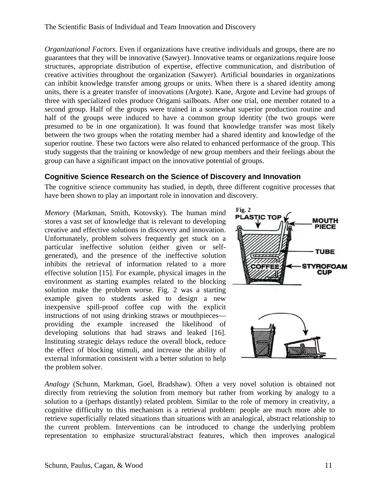<span id="page-10-0"></span>*Organizational Factors*. Even if organizations have creative individuals and groups, there are no guarantees that they will be innovative (Sawyer). Innovative teams or organizations require loose structures, appropriate distribution of expertise, effective communication, and distribution of creative activities throughout the organization (Sawyer). Artificial boundaries in organizations can inhibit knowledge transfer among groups or units. When there is a shared identity among units, there is a greater transfer of innovations (Argote). Kane, Argote and Levine had groups of three with specialized roles produce Origami sailboats. After one trial, one member rotated to a second group. Half of the groups were trained in a somewhat superior production routine and half of the groups were induced to have a common group identity (the two groups were presumed to be in one organization). It was found that knowledge transfer was most likely between the two groups when the rotating member had a shared identity and knowledge of the superior routine. These two factors were also related to enhanced performance of the group. This study suggests that the training or knowledge of new group members and their feelings about the group can have a significant impact on the innovative potential of groups.

#### **Cognitive Science Research on the Science of Discovery and Innovation**

The cognitive science community has studied, in depth, three different cognitive processes that have been shown to play an important role in innovation and discovery.

*Memory* (Markman, Smith, Kotovsky). The human mind stores a vast set of knowledge that is relevant to developing creative and effective solutions in discovery and innovation. Unfortunately, problem solvers frequently get stuck on a particular ineffective solution (either given or selfgenerated), and the presence of the ineffective solution inhibits the retrieval of information related to a more effective solution [15]. For example, physical images in the environment as starting examples related to the blocking solution make the problem worse. Fig. 2 was a starting example given to students asked to design a new inexpensive spill-proof coffee cup with the explicit instructions of not using drinking straws or mouthpieces providing the example increased the likelihood of developing solutions that had straws and leaked [16]. Instituting strategic delays reduce the overall block, reduce the effect of blocking stimuli, and increase the ability of external information consistent with a better solution to help the problem solver.



*Analogy* (Schunn, Markman, Goel, Bradshaw). Often a very novel solution is obtained not directly from retrieving the solution from memory but rather from working by analogy to a solution to a (perhaps distantly) related problem. Similar to the role of memory in creativity, a cognitive difficulty to this mechanism is a retrieval problem: people are much more able to retrieve superficially related situations than situations with an analogical, abstract relationship to the current problem. Interventions can be introduced to change the underlying problem representation to emphasize structural/abstract features, which then improves analogical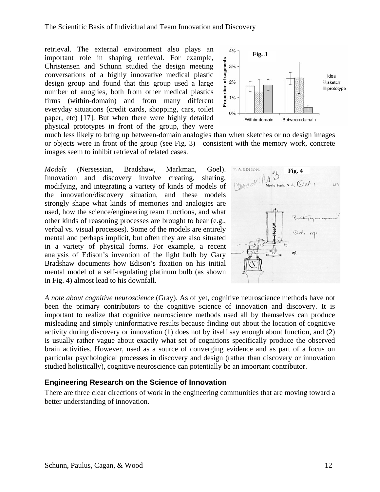retrieval. The external environment also plays an important role in shaping retrieval. For example, Christensen and Schunn studied the design meeting conversations of a highly innovative medical plastic design group and found that this group used a large number of anoglies, both from other medical plastics firms (within-domain) and from many different everyday situations (credit cards, shopping, cars, toilet paper, etc) [17]. But when there were highly detailed physical prototypes in front of the group, they were

<span id="page-11-0"></span>The Scientific Basis of Individual and Team Innovation and Discovery

much less likely to bring up between-domain analogies than when sketches or no design images or objects were in front of the group (see Fig. 3)—consistent with the memory work, concrete images seem to inhibit retrieval of related cases.

*Models* (Nersessian, Bradshaw, Markman, Goel). Innovation and discovery involve creating, sharing, modifying, and integrating a variety of kinds of models of the innovation/discovery situation, and these models strongly shape what kinds of memories and analogies are used, how the science/engineering team functions, and what other kinds of reasoning processes are brought to bear (e.g., verbal vs. visual processes). Some of the models are entirely mental and perhaps implicit, but often they are also situated in a variety of physical forms. For example, a recent analysis of Edison's invention of the light bulb by Gary Bradshaw documents how Edison's fixation on his initial mental model of a self-regulating platinum bulb (as shown in Fig. 4) almost lead to his downfall.

*A note about cognitive neuroscience* (Gray). As of yet, cognitive neuroscience methods have not been the primary contributors to the cognitive science of innovation and discovery. It is important to realize that cognitive neuroscience methods used all by themselves can produce misleading and simply uninformative results because finding out about the location of cognitive activity during discovery or innovation (1) does not by itself say enough about function, and (2) is usually rather vague about exactly what set of cognitions specifically produce the observed brain activities. However, used as a source of converging evidence and as part of a focus on particular psychological processes in discovery and design (rather than discovery or innovation studied holistically), cognitive neuroscience can potentially be an important contributor.

#### **Engineering Research on the Science of Innovation**

There are three clear directions of work in the engineering communities that are moving toward a better understanding of innovation.



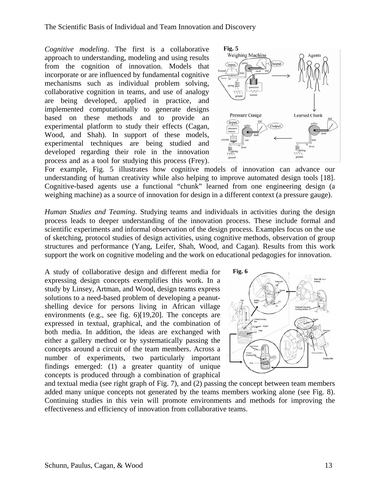*Cognitive modeling*. The first is a collaborative approach to understanding, modeling and using results from the cognition of innovation. Models that incorporate or are influenced by fundamental cognitive mechanisms such as individual problem solving, collaborative cognition in teams, and use of analogy are being developed, applied in practice, and implemented computationally to generate designs based on these methods and to provide an experimental platform to study their effects (Cagan, Wood, and Shah). In support of these models, experimental techniques are being studied and developed regarding their role in the innovation process and as a tool for studying this process (Frey).



For example, Fig. 5 illustrates how cognitive models of innovation can advance our understanding of human creativity while also helping to improve automated design tools [18]. Cognitive-based agents use a functional "chunk" learned from one engineering design (a weighing machine) as a source of innovation for design in a different context (a pressure gauge).

*Human Studies and Teaming*. Studying teams and individuals in activities during the design process leads to deeper understanding of the innovation process. These include formal and scientific experiments and informal observation of the design process. Examples focus on the use of sketching, protocol studies of design activities, using cognitive methods, observation of group structures and performance (Yang, Leifer, Shah, Wood, and Cagan). Results from this work support the work on cognitive modeling and the work on educational pedagogies for innovation.

A study of collaborative design and different media for expressing design concepts exemplifies this work. In a study by Linsey, Artman, and Wood, design teams express solutions to a need-based problem of developing a peanutshelling device for persons living in African village environments (e.g., see fig. 6)[19,20]. The concepts are expressed in textual, graphical, and the combination of both media. In addition, the ideas are exchanged with either a gallery method or by systematically passing the concepts around a circuit of the team members. Across a number of experiments, two particularly important findings emerged: (1) a greater quantity of unique concepts is produced through a combination of graphical



and textual media (see right graph of Fig. 7), and (2) passing the concept between team members added many unique concepts not generated by the teams members working alone (see Fig. 8). Continuing studies in this vein will promote environments and methods for improving the effectiveness and efficiency of innovation from collaborative teams.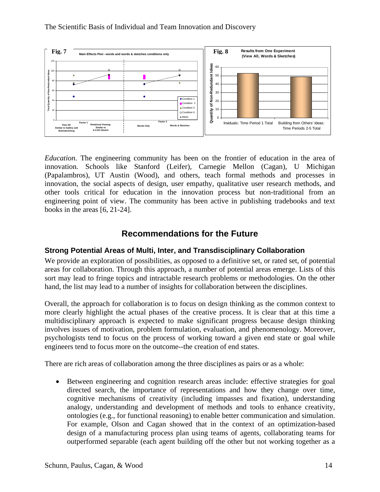<span id="page-13-0"></span>

*Education*. The engineering community has been on the frontier of education in the area of innovation. Schools like Stanford (Leifer), Carnegie Mellon (Cagan), U Michigan (Papalambros), UT Austin (Wood), and others, teach formal methods and processes in innovation, the social aspects of design, user empathy, qualitative user research methods, and other tools critical for education in the innovation process but non-traditional from an engineering point of view. The community has been active in publishing tradebooks and text books in the areas [6, 21-24].

### **Recommendations for the Future**

#### **Strong Potential Areas of Multi, Inter, and Transdisciplinary Collaboration**

We provide an exploration of possibilities, as opposed to a definitive set, or rated set, of potential areas for collaboration. Through this approach, a number of potential areas emerge. Lists of this sort may lead to fringe topics and intractable research problems or methodologies. On the other hand, the list may lead to a number of insights for collaboration between the disciplines.

Overall, the approach for collaboration is to focus on design thinking as the common context to more clearly highlight the actual phases of the creative process. It is clear that at this time a multidisciplinary approach is expected to make significant progress because design thinking involves issues of motivation, problem formulation, evaluation, and phenomenology. Moreover, psychologists tend to focus on the process of working toward a given end state or goal while engineers tend to focus more on the outcome--the creation of end states.

There are rich areas of collaboration among the three disciplines as pairs or as a whole:

• Between engineering and cognition research areas include: effective strategies for goal directed search, the importance of representations and how they change over time, cognitive mechanisms of creativity (including impasses and fixation), understanding analogy, understanding and development of methods and tools to enhance creativity, ontologies (e.g., for functional reasoning) to enable better communication and simulation. For example, Olson and Cagan showed that in the context of an optimization-based design of a manufacturing process plan using teams of agents, collaborating teams for outperformed separable (each agent building off the other but not working together as a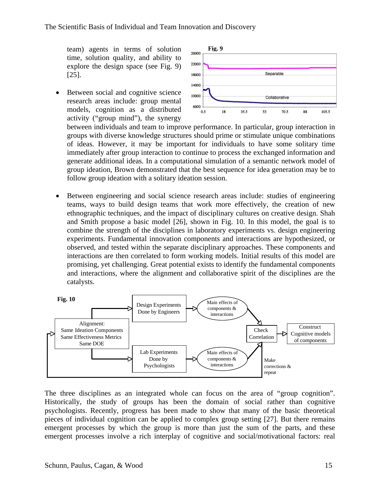team) agents in terms of solution time, solution quality, and ability to explore the design space (see Fig. 9) [25].

Between social and cognitive science research areas include: group mental models, cognition as a distributed activity ("group mind"), the synergy



between individuals and team to improve performance. In particular, group interaction in groups with diverse knowledge structures should prime or stimulate unique combinations of ideas. However, it may be important for individuals to have some solitary time immediately after group interaction to continue to process the exchanged information and generate additional ideas. In a computational simulation of a semantic network model of group ideation, Brown demonstrated that the best sequence for idea generation may be to follow group ideation with a solitary ideation session.

• Between engineering and social science research areas include: studies of engineering teams, ways to build design teams that work more effectively, the creation of new ethnographic techniques, and the impact of disciplinary cultures on creative design. Shah and Smith propose a basic model [26], shown in Fig. 10. In this model, the goal is to combine the strength of the disciplines in laboratory experiments vs. design engineering experiments. Fundamental innovation components and interactions are hypothesized, or observed, and tested within the separate disciplinary approaches. These components and interactions are then correlated to form working models. Initial results of this model are promising, yet challenging. Great potential exists to identify the fundamental components and interactions, where the alignment and collaborative spirit of the disciplines are the catalysts.



The three disciplines as an integrated whole can focus on the area of "group cognition". Historically, the study of groups has been the domain of social rather than cognitive psychologists. Recently, progress has been made to show that many of the basic theoretical pieces of individual cognition can be applied to complex group setting [27]. But there remains emergent processes by which the group is more than just the sum of the parts, and these emergent processes involve a rich interplay of cognitive and social/motivational factors: real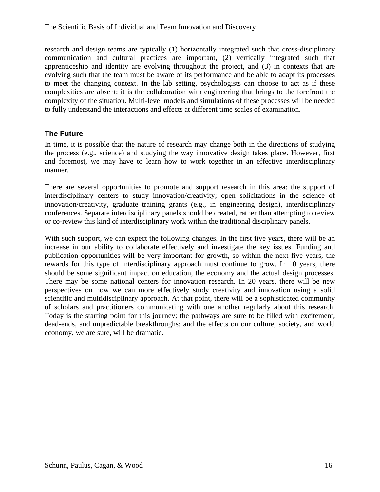<span id="page-15-0"></span>research and design teams are typically (1) horizontally integrated such that cross-disciplinary communication and cultural practices are important, (2) vertically integrated such that apprenticeship and identity are evolving throughout the project, and (3) in contexts that are evolving such that the team must be aware of its performance and be able to adapt its processes to meet the changing context. In the lab setting, psychologists can choose to act as if these complexities are absent; it is the collaboration with engineering that brings to the forefront the complexity of the situation. Multi-level models and simulations of these processes will be needed to fully understand the interactions and effects at different time scales of examination.

#### **The Future**

In time, it is possible that the nature of research may change both in the directions of studying the process (e.g., science) and studying the way innovative design takes place. However, first and foremost, we may have to learn how to work together in an effective interdisciplinary manner.

There are several opportunities to promote and support research in this area: the support of interdisciplinary centers to study innovation/creativity; open solicitations in the science of innovation/creativity, graduate training grants (e.g., in engineering design), interdisciplinary conferences. Separate interdisciplinary panels should be created, rather than attempting to review or co-review this kind of interdisciplinary work within the traditional disciplinary panels.

With such support, we can expect the following changes. In the first five years, there will be an increase in our ability to collaborate effectively and investigate the key issues. Funding and publication opportunities will be very important for growth, so within the next five years, the rewards for this type of interdisciplinary approach must continue to grow. In 10 years, there should be some significant impact on education, the economy and the actual design processes. There may be some national centers for innovation research. In 20 years, there will be new perspectives on how we can more effectively study creativity and innovation using a solid scientific and multidisciplinary approach. At that point, there will be a sophisticated community of scholars and practitioners communicating with one another regularly about this research. Today is the starting point for this journey; the pathways are sure to be filled with excitement, dead-ends, and unpredictable breakthroughs; and the effects on our culture, society, and world economy, we are sure, will be dramatic.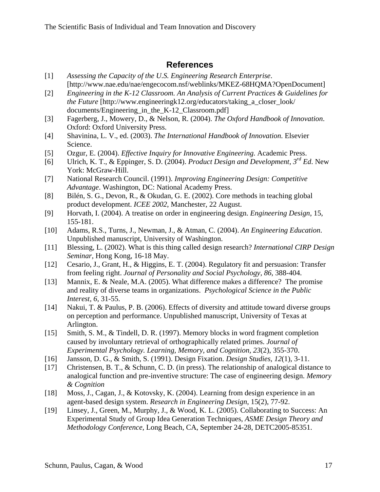### **References**

- <span id="page-16-0"></span>[1] *Assessing the Capacity of the U.S. Engineering Research Enterprise*. [http://www.nae.edu/nae/engecocom.nsf/weblinks/MKEZ-68HQMA?OpenDocument]
- [2] *Engineering in the K-12 Classroom. An Analysis of Current Practices & Guidelines for the Future* [http://www.engineeringk12.org/educators/taking\_a\_closer\_look/ documents/Engineering in the K-12 Classroom.pdf
- [3] Fagerberg, J., Mowery, D., & Nelson, R. (2004). *The Oxford Handbook of Innovation*. Oxford: Oxford University Press.
- [4] Shavinina, L. V., ed. (2003). *The International Handbook of Innovation*. Elsevier Science.
- [5] Ozgur, E. (2004). *Effective Inquiry for Innovative Engineering*. Academic Press.
- [6] Ulrich, K. T., & Eppinger, S. D. (2004). *Product Design and Development, 3rd Ed*. New York: McGraw-Hill.
- [7] National Research Council. (1991). *Improving Engineering Design: Competitive Advantage*. Washington, DC: National Academy Press.
- [8] Bilén, S. G., Devon, R., & Okudan, G. E. (2002). Core methods in teaching global product development. *ICEE 2002*, Manchester, 22 August.
- [9] Horvath, I. (2004). A treatise on order in engineering design. *Engineering Design*, 15, 155-181.
- [10] Adams, R.S., Turns, J., Newman, J., & Atman, C. (2004). *An Engineering Education*. Unpublished manuscript, University of Washington.
- [11] Blessing, L. (2002). What is this thing called design research? *International CIRP Design Seminar*, Hong Kong, 16-18 May.
- [12] Cesario, J., Grant, H., & Higgins, E. T. (2004). Regulatory fit and persuasion: Transfer from feeling right. *Journal of Personality and Social Psychology, 86*, 388-404.
- [13] Mannix, E. & Neale, M.A. (2005). What difference makes a difference? The promise and reality of diverse teams in organizations. *Psychological Science in the Public Interest, 6*, 31-55.
- [14] Nakui, T. & Paulus, P. B. (2006). Effects of diversity and attitude toward diverse groups on perception and performance. Unpublished manuscript, University of Texas at Arlington.
- [15] Smith, S. M., & Tindell, D. R. (1997). Memory blocks in word fragment completion caused by involuntary retrieval of orthographically related primes. *Journal of Experimental Psychology. Learning, Memory, and Cognition, 23*(2), 355-370.
- [16] Jansson, D. G., & Smith, S. (1991). Design Fixation. *Design Studies, 12*(1), 3-11.
- [17] Christensen, B. T., & Schunn, C. D. (in press). The relationship of analogical distance to analogical function and pre-inventive structure: The case of engineering design. *Memory & Cognition*
- [18] Moss, J., Cagan, J., & Kotovsky, K. (2004). Learning from design experience in an agent-based design system. *Research in Engineering Design*, 15(2), 77-92.
- [19] Linsey, J., Green, M., Murphy, J., & Wood, K. L. (2005). Collaborating to Success: An Experimental Study of Group Idea Generation Techniques, *ASME Design Theory and Methodology Conference*, Long Beach, CA, September 24-28, DETC2005-85351.